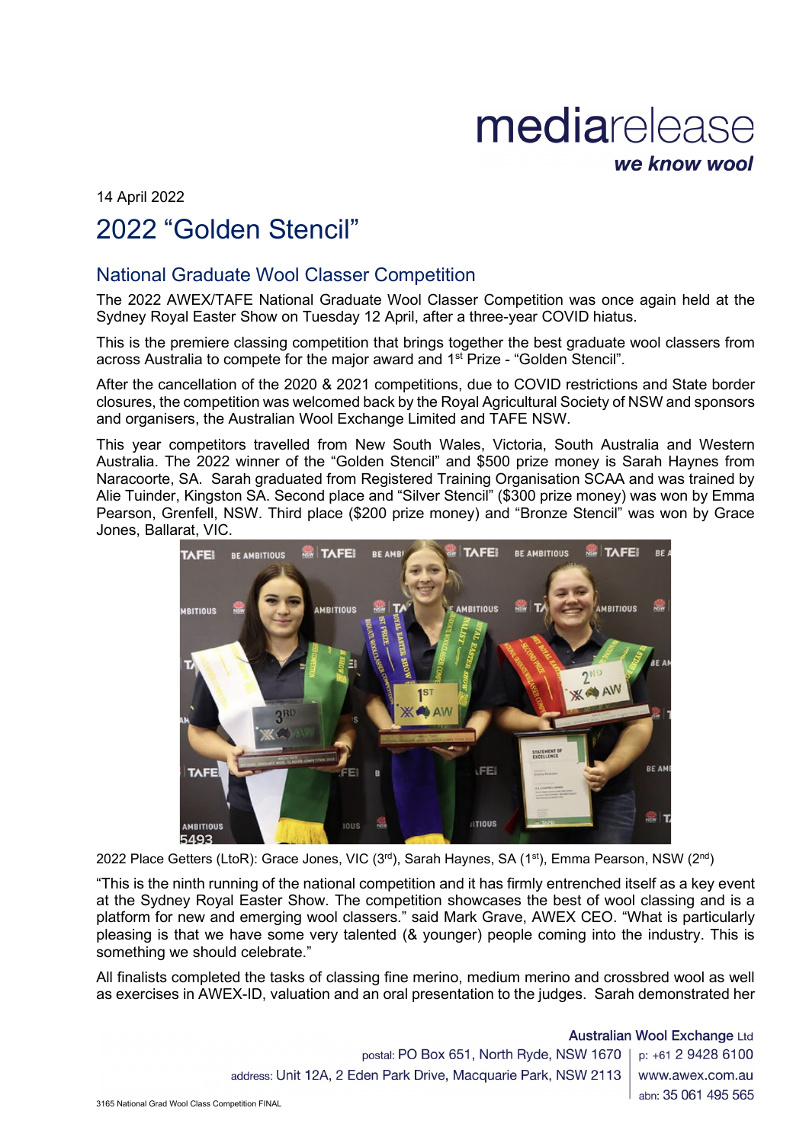## mediarelease we know wool

14 April 2022 2022 "Golden Stencil"

## National Graduate Wool Classer Competition

The 2022 AWEX/TAFE National Graduate Wool Classer Competition was once again held at the Sydney Royal Easter Show on Tuesday 12 April, after a three-year COVID hiatus.

This is the premiere classing competition that brings together the best graduate wool classers from across Australia to compete for the major award and 1st Prize - "Golden Stencil".

After the cancellation of the 2020 & 2021 competitions, due to COVID restrictions and State border closures, the competition was welcomed back by the Royal Agricultural Society of NSW and sponsors and organisers, the Australian Wool Exchange Limited and TAFE NSW.

This year competitors travelled from New South Wales, Victoria, South Australia and Western Australia. The 2022 winner of the "Golden Stencil" and \$500 prize money is Sarah Haynes from Naracoorte, SA. Sarah graduated from Registered Training Organisation SCAA and was trained by Alie Tuinder, Kingston SA. Second place and "Silver Stencil" (\$300 prize money) was won by Emma Pearson, Grenfell, NSW. Third place (\$200 prize money) and "Bronze Stencil" was won by Grace Jones, Ballarat, VIC.



2022 Place Getters (LtoR): Grace Jones, VIC (3rd), Sarah Haynes, SA (1st), Emma Pearson, NSW (2nd)

"This is the ninth running of the national competition and it has firmly entrenched itself as a key event at the Sydney Royal Easter Show. The competition showcases the best of wool classing and is a platform for new and emerging wool classers." said Mark Grave, AWEX CEO. "What is particularly pleasing is that we have some very talented (& younger) people coming into the industry. This is something we should celebrate."

All finalists completed the tasks of classing fine merino, medium merino and crossbred wool as well as exercises in AWEX-ID, valuation and an oral presentation to the judges. Sarah demonstrated her

> **Australian Wool Exchange Ltd** postal: PO Box 651, North Ryde, NSW 1670 | p: +61 2 9428 6100 address: Unit 12A, 2 Eden Park Drive, Macquarie Park, NSW 2113 www.awex.com.au abn: 35 061 495 565